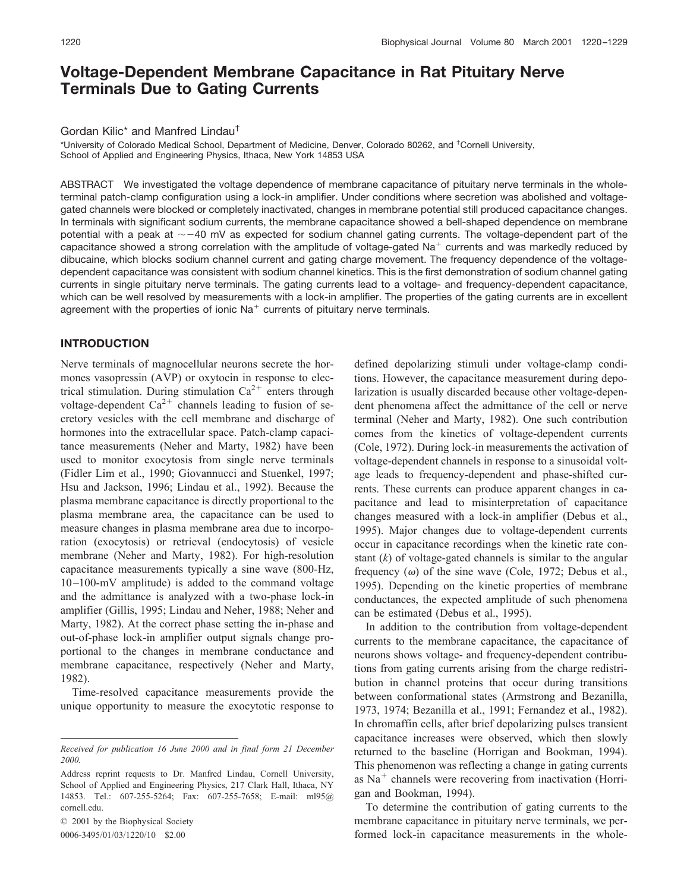# **Voltage-Dependent Membrane Capacitance in Rat Pituitary Nerve Terminals Due to Gating Currents**

### Gordan Kilic\* and Manfred Lindau†

\*University of Colorado Medical School, Department of Medicine, Denver, Colorado 80262, and † Cornell University, School of Applied and Engineering Physics, Ithaca, New York 14853 USA

ABSTRACT We investigated the voltage dependence of membrane capacitance of pituitary nerve terminals in the wholeterminal patch-clamp configuration using a lock-in amplifier. Under conditions where secretion was abolished and voltagegated channels were blocked or completely inactivated, changes in membrane potential still produced capacitance changes. In terminals with significant sodium currents, the membrane capacitance showed a bell-shaped dependence on membrane potential with a peak at  $\sim$  -40 mV as expected for sodium channel gating currents. The voltage-dependent part of the capacitance showed a strong correlation with the amplitude of voltage-gated  $Na<sup>+</sup>$  currents and was markedly reduced by dibucaine, which blocks sodium channel current and gating charge movement. The frequency dependence of the voltagedependent capacitance was consistent with sodium channel kinetics. This is the first demonstration of sodium channel gating currents in single pituitary nerve terminals. The gating currents lead to a voltage- and frequency-dependent capacitance, which can be well resolved by measurements with a lock-in amplifier. The properties of the gating currents are in excellent agreement with the properties of ionic  $Na<sup>+</sup>$  currents of pituitary nerve terminals.

### **INTRODUCTION**

Nerve terminals of magnocellular neurons secrete the hormones vasopressin (AVP) or oxytocin in response to electrical stimulation. During stimulation  $Ca^{2+}$  enters through voltage-dependent  $Ca^{2+}$  channels leading to fusion of secretory vesicles with the cell membrane and discharge of hormones into the extracellular space. Patch-clamp capacitance measurements (Neher and Marty, 1982) have been used to monitor exocytosis from single nerve terminals (Fidler Lim et al., 1990; Giovannucci and Stuenkel, 1997; Hsu and Jackson, 1996; Lindau et al., 1992). Because the plasma membrane capacitance is directly proportional to the plasma membrane area, the capacitance can be used to measure changes in plasma membrane area due to incorporation (exocytosis) or retrieval (endocytosis) of vesicle membrane (Neher and Marty, 1982). For high-resolution capacitance measurements typically a sine wave (800-Hz, 10 –100-mV amplitude) is added to the command voltage and the admittance is analyzed with a two-phase lock-in amplifier (Gillis, 1995; Lindau and Neher, 1988; Neher and Marty, 1982). At the correct phase setting the in-phase and out-of-phase lock-in amplifier output signals change proportional to the changes in membrane conductance and membrane capacitance, respectively (Neher and Marty, 1982).

Time-resolved capacitance measurements provide the unique opportunity to measure the exocytotic response to

© 2001 by the Biophysical Society 0006-3495/01/03/1220/10 \$2.00

defined depolarizing stimuli under voltage-clamp conditions. However, the capacitance measurement during depolarization is usually discarded because other voltage-dependent phenomena affect the admittance of the cell or nerve terminal (Neher and Marty, 1982). One such contribution comes from the kinetics of voltage-dependent currents (Cole, 1972). During lock-in measurements the activation of voltage-dependent channels in response to a sinusoidal voltage leads to frequency-dependent and phase-shifted currents. These currents can produce apparent changes in capacitance and lead to misinterpretation of capacitance changes measured with a lock-in amplifier (Debus et al., 1995). Major changes due to voltage-dependent currents occur in capacitance recordings when the kinetic rate constant (*k*) of voltage-gated channels is similar to the angular frequency  $(\omega)$  of the sine wave (Cole, 1972; Debus et al., 1995). Depending on the kinetic properties of membrane conductances, the expected amplitude of such phenomena can be estimated (Debus et al., 1995).

In addition to the contribution from voltage-dependent currents to the membrane capacitance, the capacitance of neurons shows voltage- and frequency-dependent contributions from gating currents arising from the charge redistribution in channel proteins that occur during transitions between conformational states (Armstrong and Bezanilla, 1973, 1974; Bezanilla et al., 1991; Fernandez et al., 1982). In chromaffin cells, after brief depolarizing pulses transient capacitance increases were observed, which then slowly returned to the baseline (Horrigan and Bookman, 1994). This phenomenon was reflecting a change in gating currents as  $Na<sup>+</sup>$  channels were recovering from inactivation (Horrigan and Bookman, 1994).

To determine the contribution of gating currents to the membrane capacitance in pituitary nerve terminals, we performed lock-in capacitance measurements in the whole-

*Received for publication 16 June 2000 and in final form 21 December 2000.*

Address reprint requests to Dr. Manfred Lindau, Cornell University, School of Applied and Engineering Physics, 217 Clark Hall, Ithaca, NY 14853. Tel.: 607-255-5264; Fax: 607-255-7658; E-mail: ml95@ cornell.edu.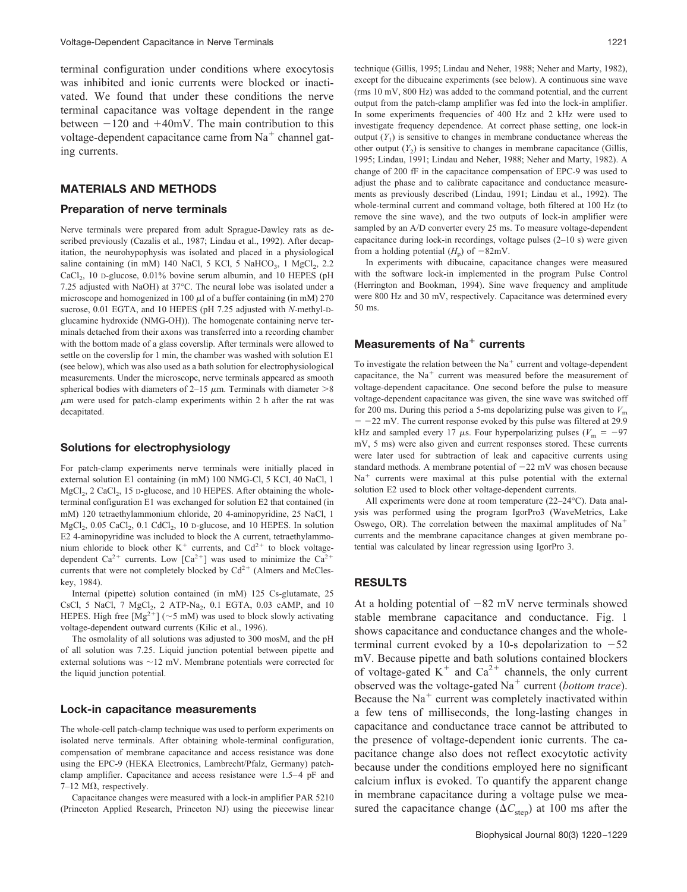terminal configuration under conditions where exocytosis was inhibited and ionic currents were blocked or inactivated. We found that under these conditions the nerve terminal capacitance was voltage dependent in the range between  $-120$  and  $+40$ mV. The main contribution to this voltage-dependent capacitance came from  $Na<sup>+</sup>$  channel gating currents.

### **MATERIALS AND METHODS**

### **Preparation of nerve terminals**

Nerve terminals were prepared from adult Sprague-Dawley rats as described previously (Cazalis et al., 1987; Lindau et al., 1992). After decapitation, the neurohypophysis was isolated and placed in a physiological saline containing (in mM) 140 NaCl, 5 KCl, 5 NaHCO<sub>3</sub>, 1 MgCl<sub>2</sub>, 2.2  $CaCl<sub>2</sub>$ , 10 D-glucose, 0.01% bovine serum albumin, and 10 HEPES (pH) 7.25 adjusted with NaOH) at 37°C. The neural lobe was isolated under a microscope and homogenized in 100  $\mu$ l of a buffer containing (in mM) 270 sucrose, 0.01 EGTA, and 10 HEPES (pH 7.25 adjusted with *N*-methyl-Dglucamine hydroxide (NMG-OH)). The homogenate containing nerve terminals detached from their axons was transferred into a recording chamber with the bottom made of a glass coverslip. After terminals were allowed to settle on the coverslip for 1 min, the chamber was washed with solution E1 (see below), which was also used as a bath solution for electrophysiological measurements. Under the microscope, nerve terminals appeared as smooth spherical bodies with diameters of 2–15  $\mu$ m. Terminals with diameter >8  $\mu$ m were used for patch-clamp experiments within 2 h after the rat was decapitated.

#### **Solutions for electrophysiology**

For patch-clamp experiments nerve terminals were initially placed in external solution E1 containing (in mM) 100 NMG-Cl, 5 KCl, 40 NaCl, 1  $MgCl<sub>2</sub>$ , 2 CaCl<sub>2</sub>, 15 D-glucose, and 10 HEPES. After obtaining the wholeterminal configuration E1 was exchanged for solution E2 that contained (in mM) 120 tetraethylammonium chloride, 20 4-aminopyridine, 25 NaCl, 1  $MgCl<sub>2</sub>$ , 0.05 CaCl<sub>2</sub>, 0.1 CdCl<sub>2</sub>, 10 D-glucose, and 10 HEPES. In solution E2 4-aminopyridine was included to block the A current, tetraethylammonium chloride to block other  $K^+$  currents, and  $Cd^{2+}$  to block voltagedependent Ca<sup>2+</sup> currents. Low [Ca<sup>2+</sup>] was used to minimize the Ca<sup>2+</sup> currents that were not completely blocked by  $Cd^{2+}$  (Almers and McCleskey, 1984).

Internal (pipette) solution contained (in mM) 125 Cs-glutamate, 25 CsCl, 5 NaCl, 7  $MgCl_2$ , 2 ATP-Na<sub>2</sub>, 0.1 EGTA, 0.03 cAMP, and 10 HEPES. High free  $[Mg^{2+}]$  (~5 mM) was used to block slowly activating voltage-dependent outward currents (Kilic et al., 1996).

The osmolality of all solutions was adjusted to 300 mosM, and the pH of all solution was 7.25. Liquid junction potential between pipette and external solutions was  $\sim$  12 mV. Membrane potentials were corrected for the liquid junction potential.

#### **Lock-in capacitance measurements**

The whole-cell patch-clamp technique was used to perform experiments on isolated nerve terminals. After obtaining whole-terminal configuration, compensation of membrane capacitance and access resistance was done using the EPC-9 (HEKA Electronics, Lambrecht/Pfalz, Germany) patchclamp amplifier. Capacitance and access resistance were 1.5–4 pF and 7–12 M $\Omega$ , respectively.

Capacitance changes were measured with a lock-in amplifier PAR 5210 (Princeton Applied Research, Princeton NJ) using the piecewise linear

technique (Gillis, 1995; Lindau and Neher, 1988; Neher and Marty, 1982), except for the dibucaine experiments (see below). A continuous sine wave (rms 10 mV, 800 Hz) was added to the command potential, and the current output from the patch-clamp amplifier was fed into the lock-in amplifier. In some experiments frequencies of 400 Hz and 2 kHz were used to investigate frequency dependence. At correct phase setting, one lock-in output  $(Y_1)$  is sensitive to changes in membrane conductance whereas the other output  $(Y_2)$  is sensitive to changes in membrane capacitance (Gillis, 1995; Lindau, 1991; Lindau and Neher, 1988; Neher and Marty, 1982). A change of 200 fF in the capacitance compensation of EPC-9 was used to adjust the phase and to calibrate capacitance and conductance measurements as previously described (Lindau, 1991; Lindau et al., 1992). The whole-terminal current and command voltage, both filtered at 100 Hz (to remove the sine wave), and the two outputs of lock-in amplifier were sampled by an A/D converter every 25 ms. To measure voltage-dependent capacitance during lock-in recordings, voltage pulses (2–10 s) were given from a holding potential  $(H_p)$  of  $-82mV$ .

In experiments with dibucaine, capacitance changes were measured with the software lock-in implemented in the program Pulse Control (Herrington and Bookman, 1994). Sine wave frequency and amplitude were 800 Hz and 30 mV, respectively. Capacitance was determined every 50 ms.

# **Measurements of Na**- **currents**

To investigate the relation between the  $Na<sup>+</sup>$  current and voltage-dependent capacitance, the  $Na<sup>+</sup>$  current was measured before the measurement of voltage-dependent capacitance. One second before the pulse to measure voltage-dependent capacitance was given, the sine wave was switched off for 200 ms. During this period a 5-ms depolarizing pulse was given to  $V<sub>m</sub>$  $= -22$  mV. The current response evoked by this pulse was filtered at 29.9 kHz and sampled every 17  $\mu$ s. Four hyperpolarizing pulses ( $V_m = -97$ mV, 5 ms) were also given and current responses stored. These currents were later used for subtraction of leak and capacitive currents using standard methods. A membrane potential of  $-22$  mV was chosen because  $Na<sup>+</sup>$  currents were maximal at this pulse potential with the external solution E2 used to block other voltage-dependent currents.

All experiments were done at room temperature (22–24°C). Data analysis was performed using the program IgorPro3 (WaveMetrics, Lake Oswego, OR). The correlation between the maximal amplitudes of  $Na<sup>+</sup>$ currents and the membrane capacitance changes at given membrane potential was calculated by linear regression using IgorPro 3.

### **RESULTS**

At a holding potential of  $-82$  mV nerve terminals showed stable membrane capacitance and conductance. Fig. 1 shows capacitance and conductance changes and the wholeterminal current evoked by a 10-s depolarization to  $-52$ mV. Because pipette and bath solutions contained blockers of voltage-gated  $K^+$  and  $Ca^{2+}$  channels, the only current observed was the voltage-gated Na<sup>+</sup> current (*bottom trace*). Because the  $Na<sup>+</sup>$  current was completely inactivated within a few tens of milliseconds, the long-lasting changes in capacitance and conductance trace cannot be attributed to the presence of voltage-dependent ionic currents. The capacitance change also does not reflect exocytotic activity because under the conditions employed here no significant calcium influx is evoked. To quantify the apparent change in membrane capacitance during a voltage pulse we measured the capacitance change ( $\Delta C_{\text{step}}$ ) at 100 ms after the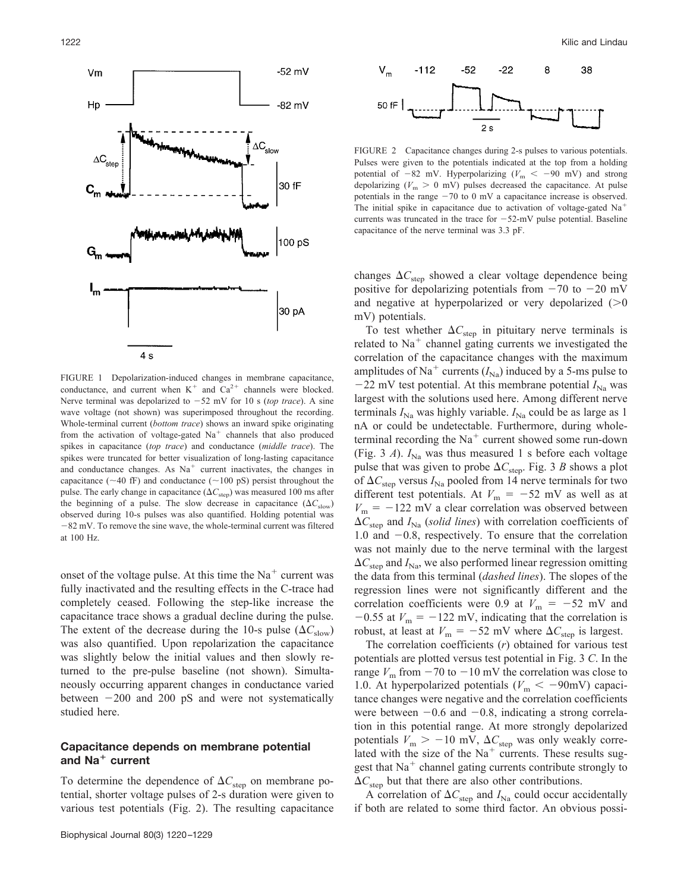

FIGURE 1 Depolarization-induced changes in membrane capacitance, conductance, and current when  $K^+$  and  $Ca^{2+}$  channels were blocked. Nerve terminal was depolarized to  $-52$  mV for 10 s (*top trace*). A sine wave voltage (not shown) was superimposed throughout the recording. Whole-terminal current (*bottom trace*) shows an inward spike originating from the activation of voltage-gated  $Na<sup>+</sup>$  channels that also produced spikes in capacitance (*top trace*) and conductance (*middle trace*). The spikes were truncated for better visualization of long-lasting capacitance and conductance changes. As  $Na<sup>+</sup>$  current inactivates, the changes in capacitance ( $\sim$ 40 fF) and conductance ( $\sim$ 100 pS) persist throughout the pulse. The early change in capacitance  $(\Delta C_{\text{step}})$  was measured 100 ms after the beginning of a pulse. The slow decrease in capacitance  $(\Delta C_{slow})$ observed during 10-s pulses was also quantified. Holding potential was  $-82$  mV. To remove the sine wave, the whole-terminal current was filtered at 100 Hz.

onset of the voltage pulse. At this time the  $Na<sup>+</sup>$  current was fully inactivated and the resulting effects in the C-trace had completely ceased. Following the step-like increase the capacitance trace shows a gradual decline during the pulse. The extent of the decrease during the 10-s pulse  $(\Delta C_{slow})$ was also quantified. Upon repolarization the capacitance was slightly below the initial values and then slowly returned to the pre-pulse baseline (not shown). Simultaneously occurring apparent changes in conductance varied between  $-200$  and  $200$  pS and were not systematically studied here.

### **Capacitance depends on membrane potential and Na**- **current**

To determine the dependence of  $\Delta C_{\text{step}}$  on membrane potential, shorter voltage pulses of 2-s duration were given to various test potentials (Fig. 2). The resulting capacitance



FIGURE 2 Capacitance changes during 2-s pulses to various potentials. Pulses were given to the potentials indicated at the top from a holding potential of  $-82$  mV. Hyperpolarizing ( $V<sub>m</sub> < -90$  mV) and strong depolarizing  $(V_m > 0 \text{ mV})$  pulses decreased the capacitance. At pulse potentials in the range  $-70$  to 0 mV a capacitance increase is observed. The initial spike in capacitance due to activation of voltage-gated  $Na<sup>+</sup>$ currents was truncated in the trace for  $-52$ -mV pulse potential. Baseline capacitance of the nerve terminal was 3.3 pF.

changes  $\Delta C_{\text{step}}$  showed a clear voltage dependence being positive for depolarizing potentials from  $-70$  to  $-20$  mV and negative at hyperpolarized or very depolarized  $(0)$ mV) potentials.

To test whether  $\Delta C_{\text{step}}$  in pituitary nerve terminals is related to  $Na<sup>+</sup>$  channel gating currents we investigated the correlation of the capacitance changes with the maximum amplitudes of Na<sup>+</sup> currents  $(I_{\text{Na}})$  induced by a 5-ms pulse to  $-22$  mV test potential. At this membrane potential  $I_{\text{Na}}$  was largest with the solutions used here. Among different nerve terminals  $I_{\text{Na}}$  was highly variable.  $I_{\text{Na}}$  could be as large as 1 nA or could be undetectable. Furthermore, during wholeterminal recording the  $Na<sup>+</sup>$  current showed some run-down (Fig. 3 *A*).  $I_{\text{Na}}$  was thus measured 1 s before each voltage pulse that was given to probe  $\Delta C_{\text{step}}$ . Fig. 3 *B* shows a plot of  $\Delta C_{\text{step}}$  versus  $I_{\text{Na}}$  pooled from 14 nerve terminals for two different test potentials. At  $V_m = -52$  mV as well as at  $V_{\rm m}$  =  $-122$  mV a clear correlation was observed between  $\Delta C_{\text{step}}$  and  $I_{\text{Na}}$  (*solid lines*) with correlation coefficients of 1.0 and  $-0.8$ , respectively. To ensure that the correlation was not mainly due to the nerve terminal with the largest  $\Delta C_{\text{step}}$  and  $I_{\text{Na}}$ , we also performed linear regression omitting the data from this terminal (*dashed lines*). The slopes of the regression lines were not significantly different and the correlation coefficients were 0.9 at  $V_m = -52$  mV and  $-0.55$  at  $V_m = -122$  mV, indicating that the correlation is robust, at least at  $V_m = -52$  mV where  $\Delta C_{\text{step}}$  is largest.

The correlation coefficients (*r*) obtained for various test potentials are plotted versus test potential in Fig. 3 *C*. In the range  $V_m$  from  $-70$  to  $-10$  mV the correlation was close to 1.0. At hyperpolarized potentials ( $V<sub>m</sub> < -90$ mV) capacitance changes were negative and the correlation coefficients were between  $-0.6$  and  $-0.8$ , indicating a strong correlation in this potential range. At more strongly depolarized potentials  $V_{\text{m}} > -10 \text{ mV}$ ,  $\Delta C_{\text{step}}$  was only weakly correlated with the size of the  $Na<sup>+</sup>$  currents. These results suggest that  $Na<sup>+</sup>$  channel gating currents contribute strongly to  $\Delta C_{\text{step}}$  but that there are also other contributions.

A correlation of  $\Delta C_{\text{step}}$  and  $I_{\text{Na}}$  could occur accidentally if both are related to some third factor. An obvious possi-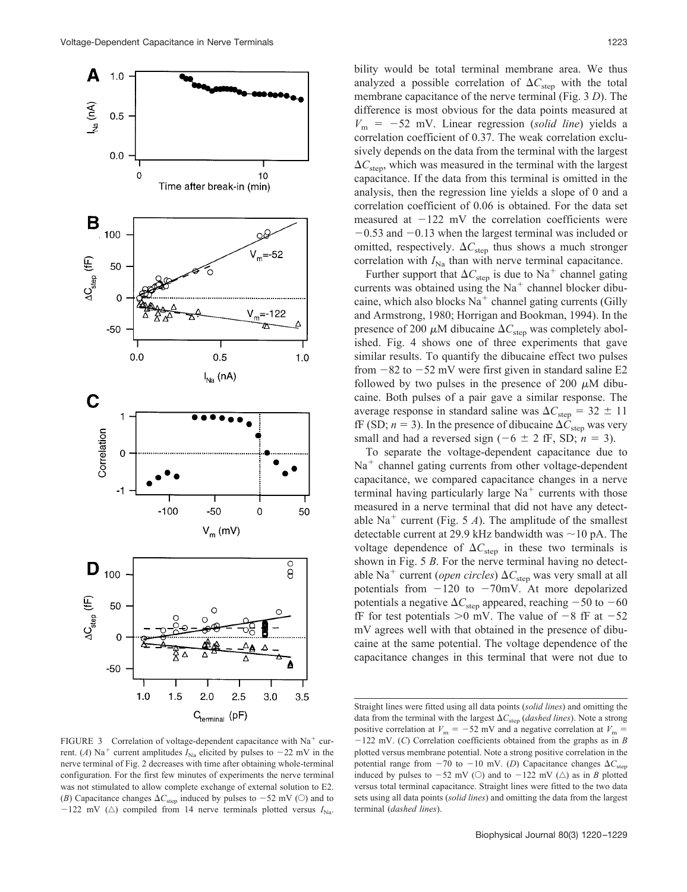

FIGURE 3 Correlation of voltage-dependent capacitance with  $Na<sup>+</sup>$  current. (*A*) Na<sup>+</sup> current amplitudes  $I_{\text{Na}}$  elicited by pulses to  $-22$  mV in the nerve terminal of Fig. 2 decreases with time after obtaining whole-terminal configuration. For the first few minutes of experiments the nerve terminal was not stimulated to allow complete exchange of external solution to E2. (*B*) Capacitance changes  $\Delta C_{\text{step}}$  induced by pulses to  $-52$  mV ( $\odot$ ) and to  $-122$  mV ( $\triangle$ ) compiled from 14 nerve terminals plotted versus  $I_{\text{Na}}$ .

bility would be total terminal membrane area. We thus analyzed a possible correlation of  $\Delta C_{\text{step}}$  with the total membrane capacitance of the nerve terminal (Fig. 3 *D*). The difference is most obvious for the data points measured at  $V_m$  =  $-52$  mV. Linear regression (*solid line*) yields a correlation coefficient of 0.37. The weak correlation exclusively depends on the data from the terminal with the largest  $\Delta C_{\text{sten}}$ , which was measured in the terminal with the largest capacitance. If the data from this terminal is omitted in the analysis, then the regression line yields a slope of 0 and a correlation coefficient of 0.06 is obtained. For the data set measured at  $-122$  mV the correlation coefficients were  $-0.53$  and  $-0.13$  when the largest terminal was included or omitted, respectively.  $\Delta C_{\text{step}}$  thus shows a much stronger correlation with  $I_{\text{Na}}$  than with nerve terminal capacitance.

Further support that  $\Delta C_{\text{sten}}$  is due to Na<sup>+</sup> channel gating currents was obtained using the  $Na<sup>+</sup>$  channel blocker dibucaine, which also blocks  $Na<sup>+</sup>$  channel gating currents (Gilly and Armstrong, 1980; Horrigan and Bookman, 1994). In the presence of 200  $\mu$ M dibucaine  $\Delta C_{\text{step}}$  was completely abolished. Fig. 4 shows one of three experiments that gave similar results. To quantify the dibucaine effect two pulses from  $-82$  to  $-52$  mV were first given in standard saline E2 followed by two pulses in the presence of 200  $\mu$ M dibucaine. Both pulses of a pair gave a similar response. The average response in standard saline was  $\Delta C_{\text{step}} = 32 \pm 11$ fF (SD;  $n = 3$ ). In the presence of dibucaine  $\Delta C_{\text{sten}}$  was very small and had a reversed sign  $(-6 \pm 2 \text{ ff}, \text{SD}; n = 3)$ .

To separate the voltage-dependent capacitance due to  $Na<sup>+</sup>$  channel gating currents from other voltage-dependent capacitance, we compared capacitance changes in a nerve terminal having particularly large  $Na<sup>+</sup>$  currents with those measured in a nerve terminal that did not have any detectable Na<sup>+</sup> current (Fig. 5 *A*). The amplitude of the smallest detectable current at 29.9 kHz bandwidth was  $\sim$  10 pA. The voltage dependence of  $\Delta C_{\text{step}}$  in these two terminals is shown in Fig. 5 *B*. For the nerve terminal having no detectable Na<sup>+</sup> current (*open circles*)  $\Delta C_{\text{step}}$  was very small at all potentials from  $-120$  to  $-70$ mV. At more depolarized potentials a negative  $\Delta C_{\text{step}}$  appeared, reaching  $-50$  to  $-60$ fF for test potentials  $>0$  mV. The value of  $-8$  fF at  $-52$ mV agrees well with that obtained in the presence of dibucaine at the same potential. The voltage dependence of the capacitance changes in this terminal that were not due to

Straight lines were fitted using all data points (*solid lines*) and omitting the data from the terminal with the largest  $\Delta C_{\text{step}}$  (*dashed lines*). Note a strong positive correlation at  $V_m = -52$  mV and a negative correlation at  $V_m =$  $-122$  mV. (*C*) Correlation coefficients obtained from the graphs as in *B* plotted versus membrane potential. Note a strong positive correlation in the potential range from  $-70$  to  $-10$  mV. (*D*) Capacitance changes  $\Delta C_{\text{step}}$ induced by pulses to  $-52$  mV ( $\circlearrowright$ ) and to  $-122$  mV ( $\triangle$ ) as in *B* plotted versus total terminal capacitance. Straight lines were fitted to the two data sets using all data points (*solid lines*) and omitting the data from the largest terminal (*dashed lines*).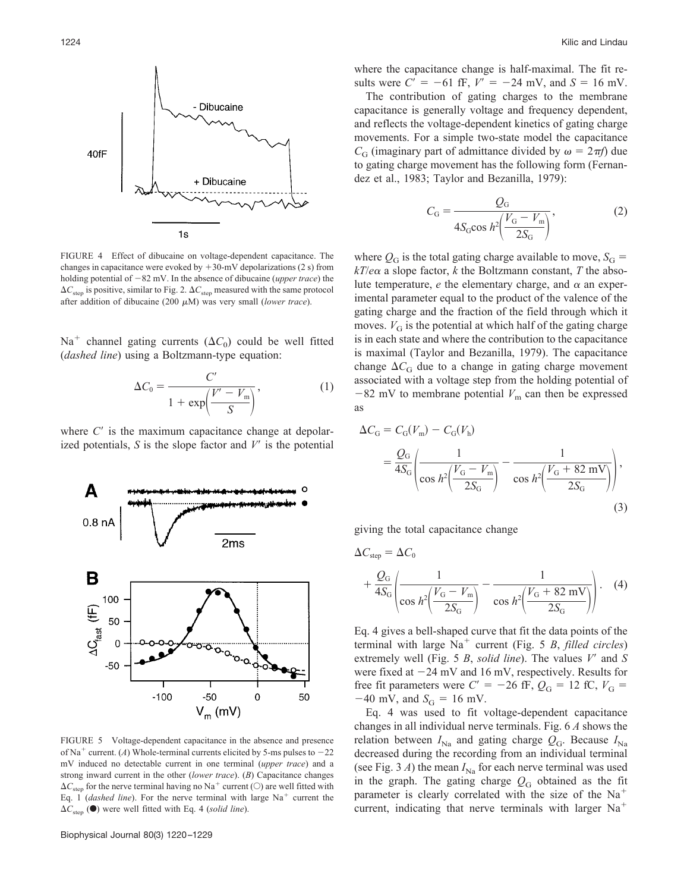

FIGURE 4 Effect of dibucaine on voltage-dependent capacitance. The changes in capacitance were evoked by  $+30$ -mV depolarizations (2 s) from holding potential of  $-82$  mV. In the absence of dibucaine (*upper trace*) the  $\Delta C_{\text{step}}$  is positive, similar to Fig. 2.  $\Delta C_{\text{step}}$  measured with the same protocol after addition of dibucaine (200  $\mu$ M) was very small (*lower trace*).

Na<sup>+</sup> channel gating currents ( $\Delta C_0$ ) could be well fitted (*dashed line*) using a Boltzmann-type equation:

$$
\Delta C_0 = \frac{C'}{1 + \exp\left(\frac{V' - V_{\rm m}}{S}\right)},\tag{1}
$$

where  $C'$  is the maximum capacitance change at depolarized potentials,  $S$  is the slope factor and  $V'$  is the potential



FIGURE 5 Voltage-dependent capacitance in the absence and presence of Na<sup>+</sup> current. (*A*) Whole-terminal currents elicited by 5-ms pulses to  $-22$ mV induced no detectable current in one terminal (*upper trace*) and a strong inward current in the other (*lower trace*). (*B*) Capacitance changes  $\Delta C_{\text{sten}}$  for the nerve terminal having no Na<sup>+</sup> current ( $\odot$ ) are well fitted with Eq. 1 (*dashed line*). For the nerve terminal with large Na<sup>+</sup> current the  $\Delta C_{\text{step}}$  ( $\bullet$ ) were well fitted with Eq. 4 (*solid line*).

where the capacitance change is half-maximal. The fit results were  $C' = -61$  fF,  $V' = -24$  mV, and  $S = 16$  mV.

The contribution of gating charges to the membrane capacitance is generally voltage and frequency dependent, and reflects the voltage-dependent kinetics of gating charge movements. For a simple two-state model the capacitance  $C_G$  (imaginary part of admittance divided by  $\omega = 2\pi f$ ) due to gating charge movement has the following form (Fernandez et al., 1983; Taylor and Bezanilla, 1979):

$$
C_{\rm G} = \frac{Q_{\rm G}}{4S_{\rm G}\cos\left(\frac{V_{\rm G} - V_{\rm m}}{2S_{\rm G}}\right)},\tag{2}
$$

where  $Q_G$  is the total gating charge available to move,  $S_G$  =  $kT/e\alpha$  a slope factor, *k* the Boltzmann constant, *T* the absolute temperature,  $e$  the elementary charge, and  $\alpha$  an experimental parameter equal to the product of the valence of the gating charge and the fraction of the field through which it moves.  $V_G$  is the potential at which half of the gating charge is in each state and where the contribution to the capacitance is maximal (Taylor and Bezanilla, 1979). The capacitance change  $\Delta C_G$  due to a change in gating charge movement associated with a voltage step from the holding potential of  $-82$  mV to membrane potential  $V<sub>m</sub>$  can then be expressed as

$$
\Delta C_{G} = C_{G}(V_{m}) - C_{G}(V_{h})
$$
\n
$$
= \frac{Q_{G}}{4S_{G}} \left( \frac{1}{\cos h^{2} \left( \frac{V_{G} - V_{m}}{2S_{G}} \right)} - \frac{1}{\cos h^{2} \left( \frac{V_{G} + 82 \text{ mV}}{2S_{G}} \right)} \right),
$$
\n(3)

giving the total capacitance change

$$
\Delta C_{\text{step}} = \Delta C_0
$$
  
+ 
$$
\frac{Q_G}{4S_G} \left( \frac{1}{\cos h^2 \left( \frac{V_G - V_m}{2S_G} \right)} - \frac{1}{\cos h^2 \left( \frac{V_G + 82 \text{ mV}}{2S_G} \right)} \right).
$$
 (4)

Eq. 4 gives a bell-shaped curve that fit the data points of the terminal with large  $Na<sup>+</sup>$  current (Fig. 5 *B*, *filled circles*) extremely well (Fig. 5 *B*, *solid line*). The values *V* and *S* were fixed at  $-24$  mV and 16 mV, respectively. Results for free fit parameters were  $C' = -26$  fF,  $Q_G = 12$  fC,  $V_G =$  $-40$  mV, and  $S_G = 16$  mV.

Eq. 4 was used to fit voltage-dependent capacitance changes in all individual nerve terminals. Fig. 6 *A* shows the relation between  $I_{\text{Na}}$  and gating charge  $Q_{\text{G}}$ . Because  $I_{\text{Na}}$ decreased during the recording from an individual terminal (see Fig. 3  $\Lambda$ ) the mean  $I_{\text{Na}}$  for each nerve terminal was used in the graph. The gating charge  $Q_G$  obtained as the fit parameter is clearly correlated with the size of the Na current, indicating that nerve terminals with larger  $Na<sup>+</sup>$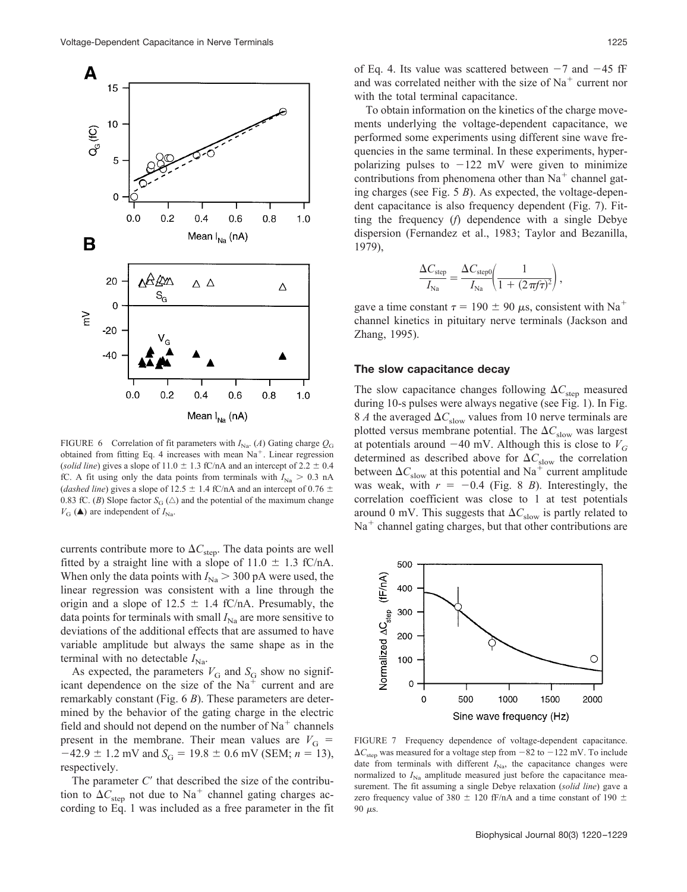

FIGURE 6 Correlation of fit parameters with  $I_{\text{Na}}$ . (*A*) Gating charge  $Q_G$ obtained from fitting Eq. 4 increases with mean  $Na<sup>+</sup>$ . Linear regression (*solid line*) gives a slope of  $11.0 \pm 1.3$  fC/nA and an intercept of  $2.2 \pm 0.4$ fC. A fit using only the data points from terminals with  $I_{\text{Na}} > 0.3 \text{ nA}$ (*dashed line*) gives a slope of 12.5  $\pm$  1.4 fC/nA and an intercept of 0.76  $\pm$ 0.83 fC. (*B*) Slope factor  $S_G(\triangle)$  and the potential of the maximum change  $V_{\text{G}}(\triangle)$  are independent of  $I_{\text{Na}}$ .

currents contribute more to  $\Delta C_{\text{step}}$ . The data points are well fitted by a straight line with a slope of  $11.0 \pm 1.3$  fC/nA. When only the data points with  $I_{\text{Na}} > 300 \text{ pA}$  were used, the linear regression was consistent with a line through the origin and a slope of  $12.5 \pm 1.4$  fC/nA. Presumably, the data points for terminals with small  $I_{\text{Na}}$  are more sensitive to deviations of the additional effects that are assumed to have variable amplitude but always the same shape as in the terminal with no detectable  $I_{\text{Na}}$ .

As expected, the parameters  $V_G$  and  $S_G$  show no significant dependence on the size of the  $Na<sup>+</sup>$  current and are remarkably constant (Fig. 6 *B*). These parameters are determined by the behavior of the gating charge in the electric field and should not depend on the number of  $Na<sup>+</sup>$  channels present in the membrane. Their mean values are  $V<sub>G</sub>$  =  $-42.9 \pm 1.2$  mV and  $S_G = 19.8 \pm 0.6$  mV (SEM; *n* = 13), respectively.

The parameter C' that described the size of the contribution to  $\Delta C_{\text{step}}$  not due to Na<sup>+</sup> channel gating charges according to Eq. 1 was included as a free parameter in the fit

To obtain information on the kinetics of the charge movements underlying the voltage-dependent capacitance, we performed some experiments using different sine wave frequencies in the same terminal. In these experiments, hyperpolarizing pulses to  $-122$  mV were given to minimize contributions from phenomena other than  $Na<sup>+</sup>$  channel gating charges (see Fig. 5 *B*). As expected, the voltage-dependent capacitance is also frequency dependent (Fig. 7). Fitting the frequency (*f*) dependence with a single Debye dispersion (Fernandez et al., 1983; Taylor and Bezanilla, 1979),

$$
\frac{\Delta C_{\rm step}}{I_{\rm Na}} = \frac{\Delta C_{\rm step0}}{I_{\rm Na}} \left( \frac{1}{1 + (2\pi\!f\tau)^2} \right),
$$

gave a time constant  $\tau = 190 \pm 90 \mu s$ , consistent with Na<sup>+</sup> channel kinetics in pituitary nerve terminals (Jackson and Zhang, 1995).

### **The slow capacitance decay**

The slow capacitance changes following  $\Delta C_{\text{step}}$  measured during 10-s pulses were always negative (see Fig. 1). In Fig. 8 *A* the averaged  $\Delta C_{\text{slow}}$  values from 10 nerve terminals are plotted versus membrane potential. The  $\Delta C_{\text{slow}}$  was largest at potentials around  $-40$  mV. Although this is close to  $V_G$ determined as described above for  $\Delta C_{\text{slow}}$  the correlation between  $\Delta C_{\text{slow}}$  at this potential and Na<sup>+</sup> current amplitude was weak, with  $r = -0.4$  (Fig. 8 *B*). Interestingly, the correlation coefficient was close to 1 at test potentials around 0 mV. This suggests that  $\Delta C_{\text{slow}}$  is partly related to  $Na<sup>+</sup>$  channel gating charges, but that other contributions are



FIGURE 7 Frequency dependence of voltage-dependent capacitance.  $\Delta C_{\text{sten}}$  was measured for a voltage step from  $-82$  to  $-122$  mV. To include date from terminals with different  $I_{\text{Na}}$ , the capacitance changes were normalized to  $I_{\text{Na}}$  amplitude measured just before the capacitance measurement. The fit assuming a single Debye relaxation (*solid line*) gave a zero frequency value of 380  $\pm$  120 fF/nA and a time constant of 190  $\pm$ 90  $\mu$ s.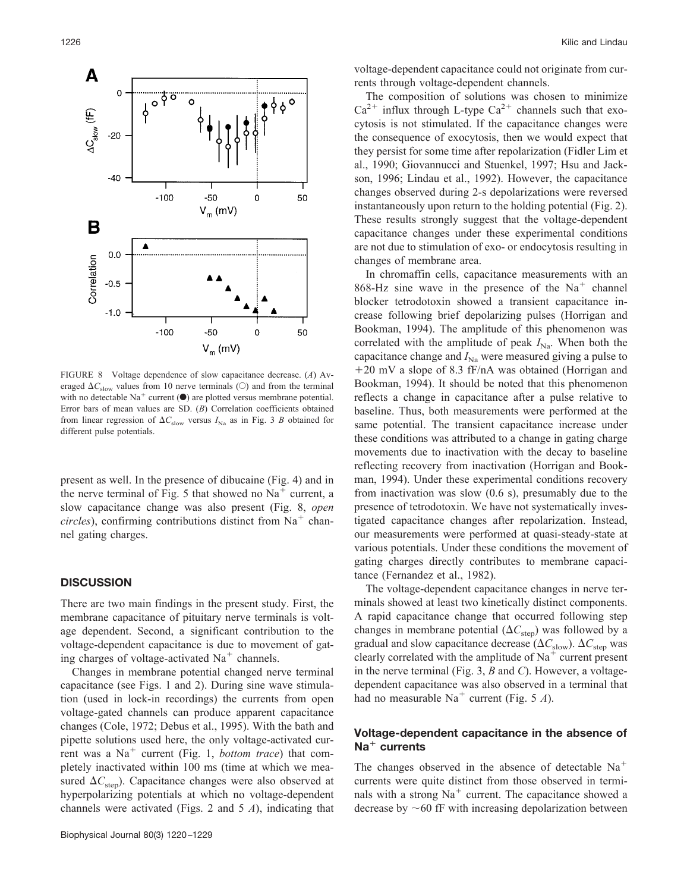

FIGURE 8 Voltage dependence of slow capacitance decrease. (*A*) Averaged  $\Delta C_{slow}$  values from 10 nerve terminals ( $\odot$ ) and from the terminal with no detectable Na<sup>+</sup> current  $(\bullet)$  are plotted versus membrane potential. Error bars of mean values are SD. (*B*) Correlation coefficients obtained from linear regression of  $\Delta C_{\text{slow}}$  versus  $I_{\text{Na}}$  as in Fig. 3 *B* obtained for different pulse potentials.

present as well. In the presence of dibucaine (Fig. 4) and in the nerve terminal of Fig. 5 that showed no  $Na<sup>+</sup>$  current, a slow capacitance change was also present (Fig. 8, *open circles*), confirming contributions distinct from  $Na<sup>+</sup>$  channel gating charges.

### **DISCUSSION**

There are two main findings in the present study. First, the membrane capacitance of pituitary nerve terminals is voltage dependent. Second, a significant contribution to the voltage-dependent capacitance is due to movement of gating charges of voltage-activated  $Na<sup>+</sup>$  channels.

Changes in membrane potential changed nerve terminal capacitance (see Figs. 1 and 2). During sine wave stimulation (used in lock-in recordings) the currents from open voltage-gated channels can produce apparent capacitance changes (Cole, 1972; Debus et al., 1995). With the bath and pipette solutions used here, the only voltage-activated current was a Na<sup>+</sup> current (Fig. 1, *bottom trace*) that completely inactivated within 100 ms (time at which we measured  $\Delta C_{\text{step}}$ ). Capacitance changes were also observed at hyperpolarizing potentials at which no voltage-dependent channels were activated (Figs. 2 and 5 *A*), indicating that

voltage-dependent capacitance could not originate from currents through voltage-dependent channels.

The composition of solutions was chosen to minimize  $Ca^{2+}$  influx through L-type  $Ca^{2+}$  channels such that exocytosis is not stimulated. If the capacitance changes were the consequence of exocytosis, then we would expect that they persist for some time after repolarization (Fidler Lim et al., 1990; Giovannucci and Stuenkel, 1997; Hsu and Jackson, 1996; Lindau et al., 1992). However, the capacitance changes observed during 2-s depolarizations were reversed instantaneously upon return to the holding potential (Fig. 2). These results strongly suggest that the voltage-dependent capacitance changes under these experimental conditions are not due to stimulation of exo- or endocytosis resulting in changes of membrane area.

In chromaffin cells, capacitance measurements with an 868-Hz sine wave in the presence of the  $Na<sup>+</sup>$  channel blocker tetrodotoxin showed a transient capacitance increase following brief depolarizing pulses (Horrigan and Bookman, 1994). The amplitude of this phenomenon was correlated with the amplitude of peak  $I_{\text{Na}}$ . When both the capacitance change and  $I_{\text{Na}}$  were measured giving a pulse to 20 mV a slope of 8.3 fF/nA was obtained (Horrigan and Bookman, 1994). It should be noted that this phenomenon reflects a change in capacitance after a pulse relative to baseline. Thus, both measurements were performed at the same potential. The transient capacitance increase under these conditions was attributed to a change in gating charge movements due to inactivation with the decay to baseline reflecting recovery from inactivation (Horrigan and Bookman, 1994). Under these experimental conditions recovery from inactivation was slow (0.6 s), presumably due to the presence of tetrodotoxin. We have not systematically investigated capacitance changes after repolarization. Instead, our measurements were performed at quasi-steady-state at various potentials. Under these conditions the movement of gating charges directly contributes to membrane capacitance (Fernandez et al., 1982).

The voltage-dependent capacitance changes in nerve terminals showed at least two kinetically distinct components. A rapid capacitance change that occurred following step changes in membrane potential  $(\Delta C_{\text{sten}})$  was followed by a gradual and slow capacitance decrease  $(\Delta C_{\text{slow}})$ .  $\Delta C_{\text{sten}}$  was clearly correlated with the amplitude of  $Na<sup>+</sup>$  current present in the nerve terminal (Fig. 3, *B* and *C*). However, a voltagedependent capacitance was also observed in a terminal that had no measurable  $Na<sup>+</sup>$  current (Fig. 5 *A*).

### **Voltage-dependent capacitance in the absence of Na**- **currents**

The changes observed in the absence of detectable  $Na<sup>+</sup>$ currents were quite distinct from those observed in terminals with a strong  $Na<sup>+</sup>$  current. The capacitance showed a decrease by  $~60$  fF with increasing depolarization between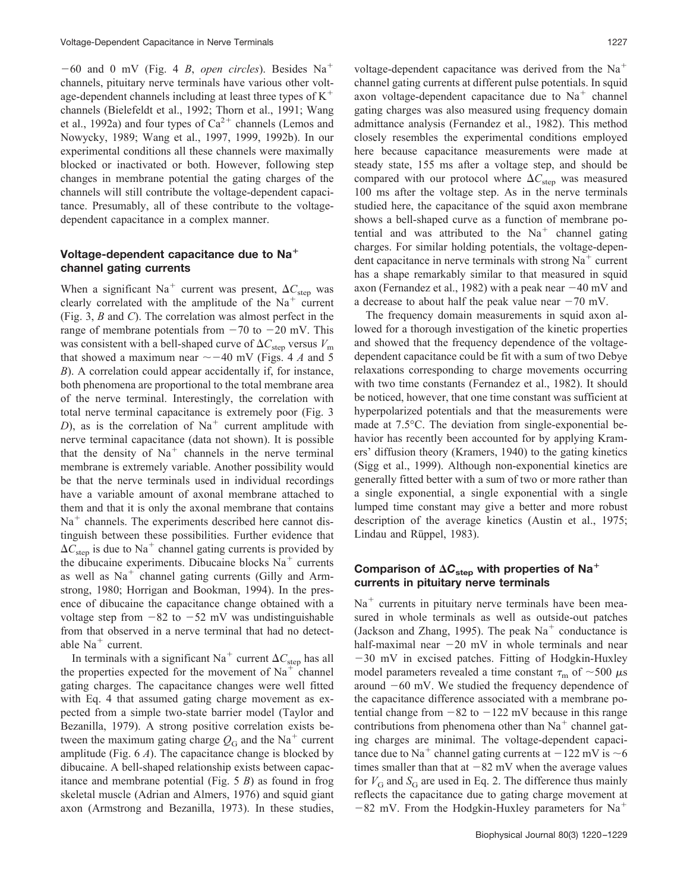$-60$  and 0 mV (Fig. 4 *B*, *open circles*). Besides Na<sup>+</sup> channels, pituitary nerve terminals have various other voltage-dependent channels including at least three types of  $K^+$ channels (Bielefeldt et al., 1992; Thorn et al., 1991; Wang et al., 1992a) and four types of  $Ca^{2+}$  channels (Lemos and Nowycky, 1989; Wang et al., 1997, 1999, 1992b). In our experimental conditions all these channels were maximally blocked or inactivated or both. However, following step changes in membrane potential the gating charges of the channels will still contribute the voltage-dependent capacitance. Presumably, all of these contribute to the voltagedependent capacitance in a complex manner.

# **Voltage-dependent capacitance due to Na channel gating currents**

When a significant Na<sup>+</sup> current was present,  $\Delta C_{\text{step}}$  was clearly correlated with the amplitude of the  $Na<sup>+</sup>$  current (Fig. 3, *B* and *C*). The correlation was almost perfect in the range of membrane potentials from  $-70$  to  $-20$  mV. This was consistent with a bell-shaped curve of  $\Delta C_{\text{step}}$  versus  $V_{\text{m}}$ that showed a maximum near  $\sim -40$  mV (Figs. 4 *A* and 5 *B*). A correlation could appear accidentally if, for instance, both phenomena are proportional to the total membrane area of the nerve terminal. Interestingly, the correlation with total nerve terminal capacitance is extremely poor (Fig. 3 *D*), as is the correlation of  $Na<sup>+</sup>$  current amplitude with nerve terminal capacitance (data not shown). It is possible that the density of  $Na<sup>+</sup>$  channels in the nerve terminal membrane is extremely variable. Another possibility would be that the nerve terminals used in individual recordings have a variable amount of axonal membrane attached to them and that it is only the axonal membrane that contains  $Na<sup>+</sup>$  channels. The experiments described here cannot distinguish between these possibilities. Further evidence that  $\Delta C_{\text{step}}$  is due to Na<sup>+</sup> channel gating currents is provided by the dibucaine experiments. Dibucaine blocks  $Na<sup>+</sup>$  currents as well as  $Na<sup>+</sup>$  channel gating currents (Gilly and Armstrong, 1980; Horrigan and Bookman, 1994). In the presence of dibucaine the capacitance change obtained with a voltage step from  $-82$  to  $-52$  mV was undistinguishable from that observed in a nerve terminal that had no detectable  $Na<sup>+</sup> current.$ 

In terminals with a significant Na<sup>+</sup> current  $\Delta C_{\text{step}}$  has all the properties expected for the movement of  $Na<sup>+</sup>$  channel gating charges. The capacitance changes were well fitted with Eq. 4 that assumed gating charge movement as expected from a simple two-state barrier model (Taylor and Bezanilla, 1979). A strong positive correlation exists between the maximum gating charge  $Q_G$  and the Na<sup>+</sup> current amplitude (Fig. 6 *A*). The capacitance change is blocked by dibucaine. A bell-shaped relationship exists between capacitance and membrane potential (Fig. 5 *B*) as found in frog skeletal muscle (Adrian and Almers, 1976) and squid giant axon (Armstrong and Bezanilla, 1973). In these studies,

voltage-dependent capacitance was derived from the  $Na<sup>+</sup>$ channel gating currents at different pulse potentials. In squid axon voltage-dependent capacitance due to  $Na<sup>+</sup>$  channel gating charges was also measured using frequency domain admittance analysis (Fernandez et al., 1982). This method closely resembles the experimental conditions employed here because capacitance measurements were made at steady state, 155 ms after a voltage step, and should be compared with our protocol where  $\Delta C_{\text{step}}$  was measured 100 ms after the voltage step. As in the nerve terminals studied here, the capacitance of the squid axon membrane shows a bell-shaped curve as a function of membrane potential and was attributed to the  $Na<sup>+</sup>$  channel gating charges. For similar holding potentials, the voltage-dependent capacitance in nerve terminals with strong  $Na<sup>+</sup>$  current has a shape remarkably similar to that measured in squid axon (Fernandez et al., 1982) with a peak near  $-40$  mV and a decrease to about half the peak value near  $-70$  mV.

The frequency domain measurements in squid axon allowed for a thorough investigation of the kinetic properties and showed that the frequency dependence of the voltagedependent capacitance could be fit with a sum of two Debye relaxations corresponding to charge movements occurring with two time constants (Fernandez et al., 1982). It should be noticed, however, that one time constant was sufficient at hyperpolarized potentials and that the measurements were made at 7.5°C. The deviation from single-exponential behavior has recently been accounted for by applying Kramers' diffusion theory (Kramers, 1940) to the gating kinetics (Sigg et al., 1999). Although non-exponential kinetics are generally fitted better with a sum of two or more rather than a single exponential, a single exponential with a single lumped time constant may give a better and more robust description of the average kinetics (Austin et al., 1975; Lindau and Rüppel, 1983).

# Comparison of  $\Delta C_{\rm step}$  with properties of Na<sup>+</sup> **currents in pituitary nerve terminals**

 $Na<sup>+</sup>$  currents in pituitary nerve terminals have been measured in whole terminals as well as outside-out patches (Jackson and Zhang, 1995). The peak  $Na<sup>+</sup>$  conductance is half-maximal near  $-20$  mV in whole terminals and near 30 mV in excised patches. Fitting of Hodgkin-Huxley model parameters revealed a time constant  $\tau_{\rm m}$  of  $\sim$  500  $\mu$ s around  $-60$  mV. We studied the frequency dependence of the capacitance difference associated with a membrane potential change from  $-82$  to  $-122$  mV because in this range contributions from phenomena other than  $Na<sup>+</sup>$  channel gating charges are minimal. The voltage-dependent capacitance due to Na<sup>+</sup> channel gating currents at  $-122$  mV is  $\sim$ 6 times smaller than that at  $-82$  mV when the average values for  $V_G$  and  $S_G$  are used in Eq. 2. The difference thus mainly reflects the capacitance due to gating charge movement at  $-82$  mV. From the Hodgkin-Huxley parameters for Na<sup>+</sup>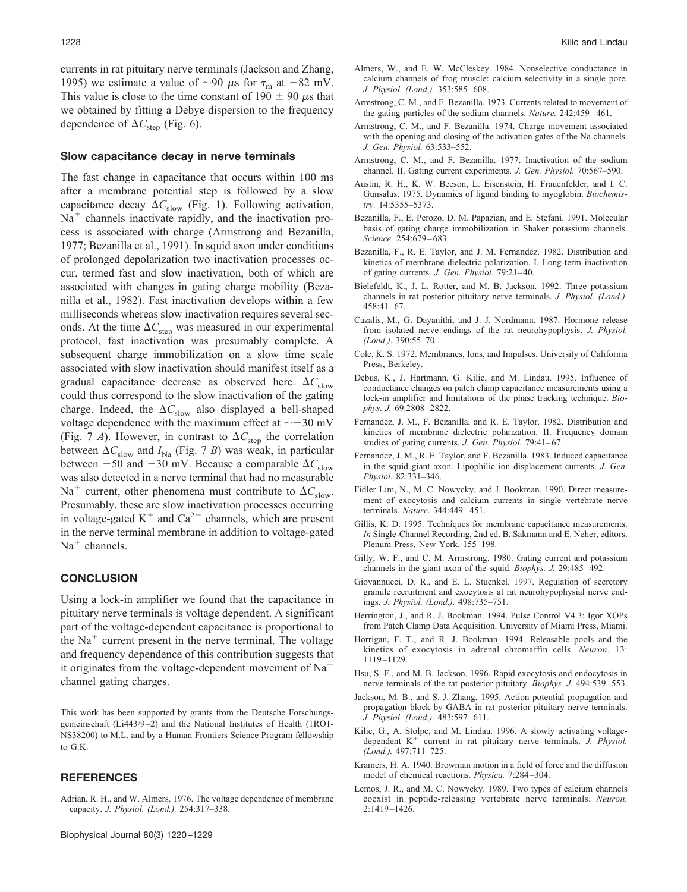### **Slow capacitance decay in nerve terminals**

The fast change in capacitance that occurs within 100 ms after a membrane potential step is followed by a slow capacitance decay  $\Delta C_{\text{slow}}$  (Fig. 1). Following activation,  $Na<sup>+</sup>$  channels inactivate rapidly, and the inactivation process is associated with charge (Armstrong and Bezanilla, 1977; Bezanilla et al., 1991). In squid axon under conditions of prolonged depolarization two inactivation processes occur, termed fast and slow inactivation, both of which are associated with changes in gating charge mobility (Bezanilla et al., 1982). Fast inactivation develops within a few milliseconds whereas slow inactivation requires several seconds. At the time  $\Delta C_{\text{step}}$  was measured in our experimental protocol, fast inactivation was presumably complete. A subsequent charge immobilization on a slow time scale associated with slow inactivation should manifest itself as a gradual capacitance decrease as observed here.  $\Delta C_{\text{slow}}$ could thus correspond to the slow inactivation of the gating charge. Indeed, the  $\Delta C_{\text{slow}}$  also displayed a bell-shaped voltage dependence with the maximum effect at  $\sim$  -30 mV (Fig. 7 *A*). However, in contrast to  $\Delta C_{\text{step}}$  the correlation between  $\Delta C_{\text{slow}}$  and  $I_{\text{Na}}$  (Fig. 7 *B*) was weak, in particular between  $-50$  and  $-30$  mV. Because a comparable  $\Delta C_{\text{slow}}$ was also detected in a nerve terminal that had no measurable Na<sup>+</sup> current, other phenomena must contribute to  $\Delta C_{\text{slow}}$ . Presumably, these are slow inactivation processes occurring in voltage-gated  $K^+$  and  $Ca^{2+}$  channels, which are present in the nerve terminal membrane in addition to voltage-gated  $Na<sup>+</sup> channels.$ 

#### **CONCLUSION**

Using a lock-in amplifier we found that the capacitance in pituitary nerve terminals is voltage dependent. A significant part of the voltage-dependent capacitance is proportional to the  $Na<sup>+</sup>$  current present in the nerve terminal. The voltage and frequency dependence of this contribution suggests that it originates from the voltage-dependent movement of  $Na<sup>+</sup>$ channel gating charges.

This work has been supported by grants from the Deutsche Forschungsgemeinschaft (Li443/9 –2) and the National Institutes of Health (1RO1- NS38200) to M.L. and by a Human Frontiers Science Program fellowship to G.K.

### **REFERENCES**

Adrian, R. H., and W. Almers. 1976. The voltage dependence of membrane capacity. *J. Physiol. (Lond.).* 254:317–338.

- Almers, W., and E. W. McCleskey. 1984. Nonselective conductance in calcium channels of frog muscle: calcium selectivity in a single pore. *J. Physiol. (Lond.).* 353:585– 608.
- Armstrong, C. M., and F. Bezanilla. 1973. Currents related to movement of the gating particles of the sodium channels. *Nature*. 242:459-461.
- Armstrong, C. M., and F. Bezanilla. 1974. Charge movement associated with the opening and closing of the activation gates of the Na channels. *J. Gen. Physiol.* 63:533–552.
- Armstrong, C. M., and F. Bezanilla. 1977. Inactivation of the sodium channel. II. Gating current experiments. *J. Gen. Physiol.* 70:567–590.
- Austin, R. H., K. W. Beeson, L. Eisenstein, H. Frauenfelder, and I. C. Gunsalus. 1975. Dynamics of ligand binding to myoglobin. *Biochemistry.* 14:5355–5373.
- Bezanilla, F., E. Perozo, D. M. Papazian, and E. Stefani. 1991. Molecular basis of gating charge immobilization in Shaker potassium channels. *Science.* 254:679 – 683.
- Bezanilla, F., R. E. Taylor, and J. M. Fernandez. 1982. Distribution and kinetics of membrane dielectric polarization. I. Long-term inactivation of gating currents. *J. Gen. Physiol.* 79:21– 40.
- Bielefeldt, K., J. L. Rotter, and M. B. Jackson. 1992. Three potassium channels in rat posterior pituitary nerve terminals. *J. Physiol. (Lond.).*  $458:41-67$ .
- Cazalis, M., G. Dayanithi, and J. J. Nordmann. 1987. Hormone release from isolated nerve endings of the rat neurohypophysis. *J. Physiol. (Lond.)*. 390:55–70.
- Cole, K. S. 1972. Membranes, Ions, and Impulses. University of California Press, Berkeley.
- Debus, K., J. Hartmann, G. Kilic, and M. Lindau. 1995. Influence of conductance changes on patch clamp capacitance measurements using a lock-in amplifier and limitations of the phase tracking technique. *Biophys. J.* 69:2808 –2822.
- Fernandez, J. M., F. Bezanilla, and R. E. Taylor. 1982. Distribution and kinetics of membrane dielectric polarization. II. Frequency domain studies of gating currents. *J. Gen. Physiol.* 79:41-67.
- Fernandez, J. M., R. E. Taylor, and F. Bezanilla. 1983. Induced capacitance in the squid giant axon. Lipophilic ion displacement currents. *J. Gen. Physiol.* 82:331–346.
- Fidler Lim, N., M. C. Nowycky, and J. Bookman. 1990. Direct measurement of exocytosis and calcium currents in single vertebrate nerve terminals. *Nature*. 344:449 – 451.
- Gillis, K. D. 1995. Techniques for membrane capacitance measurements. *In* Single-Channel Recording, 2nd ed. B. Sakmann and E. Neher, editors. Plenum Press, New York. 155–198.
- Gilly, W. F., and C. M. Armstrong. 1980. Gating current and potassium channels in the giant axon of the squid. *Biophys. J.* 29:485– 492.
- Giovannucci, D. R., and E. L. Stuenkel. 1997. Regulation of secretory granule recruitment and exocytosis at rat neurohypophysial nerve endings. *J. Physiol. (Lond.).* 498:735–751.
- Herrington, J., and R. J. Bookman. 1994. Pulse Control V4.3: Igor XOPs from Patch Clamp Data Acquisition. University of Miami Press, Miami.
- Horrigan, F. T., and R. J. Bookman. 1994. Releasable pools and the kinetics of exocytosis in adrenal chromaffin cells. *Neuron.* 13: 1119 –1129.
- Hsu, S.-F., and M. B. Jackson. 1996. Rapid exocytosis and endocytosis in nerve terminals of the rat posterior pituitary. *Biophys. J.* 494:539 –553.
- Jackson, M. B., and S. J. Zhang. 1995. Action potential propagation and propagation block by GABA in rat posterior pituitary nerve terminals. *J. Physiol. (Lond.).* 483:597– 611.
- Kilic, G., A. Stolpe, and M. Lindau. 1996. A slowly activating voltagedependent K<sup>+</sup> current in rat pituitary nerve terminals. *J. Physiol. (Lond.).* 497:711–725.
- Kramers, H. A. 1940. Brownian motion in a field of force and the diffusion model of chemical reactions. *Physica.* 7:284 –304.
- Lemos, J. R., and M. C. Nowycky. 1989. Two types of calcium channels coexist in peptide-releasing vertebrate nerve terminals. *Neuron.* 2:1419 –1426.